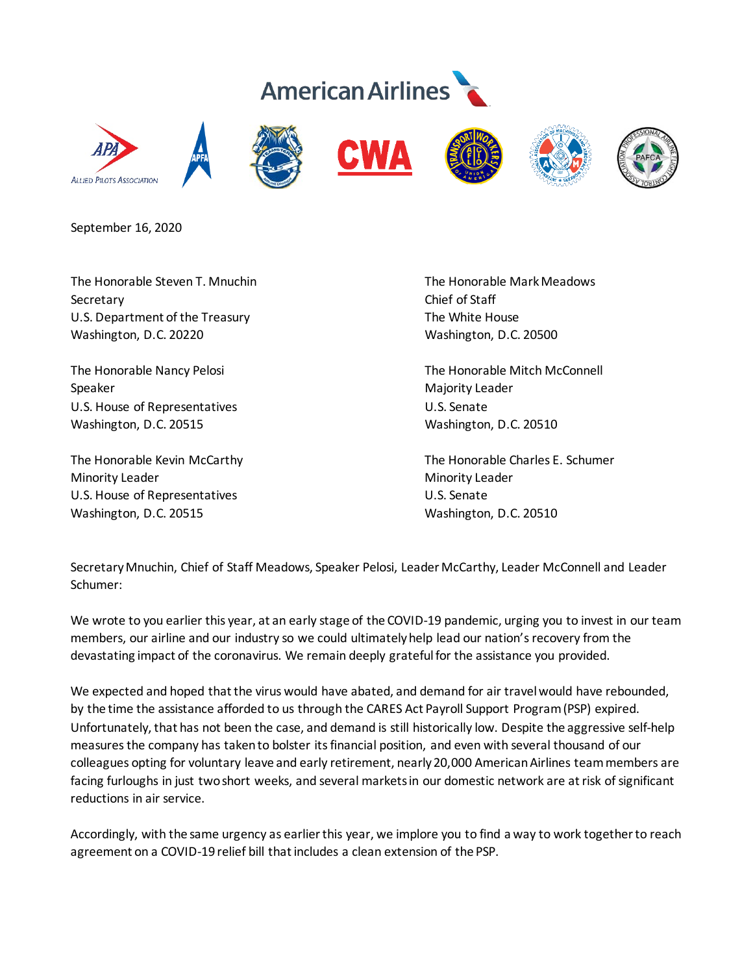## **American Airlines**



September 16, 2020

Secretary Chief of Staff U.S. Department of the Treasury The White House Washington, D.C. 20220 Washington, D.C. 20500

Speaker Majority Leader National Action of the Majority Leader Majority Leader U.S. House of Representatives U.S. Senate Washington, D.C. 20515 Washington, D.C. 20510

Minority Leader **Minority Leader** Minority Leader U.S. House of Representatives U.S. Senate Washington, D.C. 20515 Washington, D.C. 20510

The Honorable Steven T. Mnuchin The Honorable Mark Meadows

The Honorable Nancy Pelosi **The Honorable Mitch McConnell** 

The Honorable Kevin McCarthy **The Honorable Charles E. Schumer** The Honorable Charles E. Schumer

Secretary Mnuchin, Chief of Staff Meadows, Speaker Pelosi, Leader McCarthy, Leader McConnell and Leader Schumer:

We wrote to you earlier this year, at an early stage of the COVID-19 pandemic, urging you to invest in our team members, our airline and our industry so we could ultimately help lead our nation'srecovery from the devastating impact of the coronavirus. We remain deeply grateful for the assistance you provided.

We expected and hoped that the virus would have abated, and demand for air travel would have rebounded, by the time the assistance afforded to us through the CARES Act Payroll Support Program (PSP) expired. Unfortunately, that has not been the case, and demand is still historically low. Despite the aggressive self-help measures the company has taken to bolster its financial position, and even with several thousand of our colleagues opting for voluntary leave and early retirement, nearly20,000 American Airlines team members are facing furloughs in just two short weeks, and several markets in our domestic network are at risk of significant reductions in air service.

Accordingly, with the same urgency as earlier this year, we implore you to find a way to work together to reach agreement on a COVID-19 relief bill that includes a clean extension of the PSP.